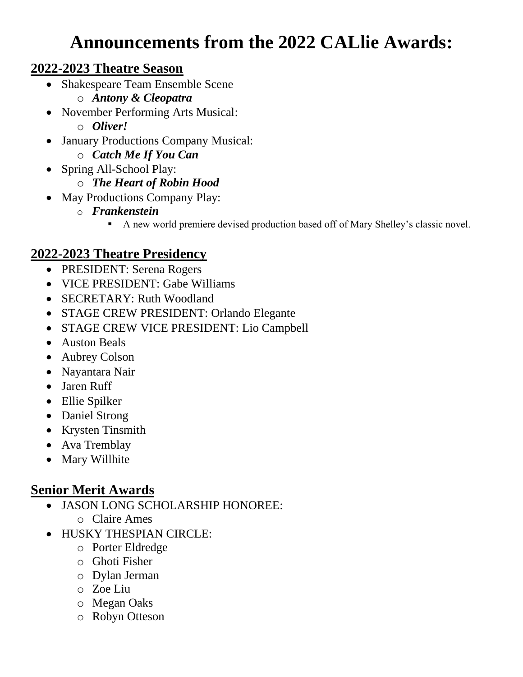# **Announcements from the 2022 CALlie Awards:**

#### **2022-2023 Theatre Season**

- Shakespeare Team Ensemble Scene
	- o *Antony & Cleopatra*
- November Performing Arts Musical:
	- o *Oliver!*
- January Productions Company Musical:
	- o *Catch Me If You Can*
- Spring All-School Play:
	- o *The Heart of Robin Hood*
- May Productions Company Play:
	- o *Frankenstein*
		- A new world premiere devised production based off of Mary Shelley's classic novel.

### **2022-2023 Theatre Presidency**

- PRESIDENT: Serena Rogers
- VICE PRESIDENT: Gabe Williams
- **SECRETARY: Ruth Woodland**
- STAGE CREW PRESIDENT: Orlando Elegante
- STAGE CREW VICE PRESIDENT: Lio Campbell
- Auston Beals
- Aubrey Colson
- Nayantara Nair
- Jaren Ruff
- Ellie Spilker
- Daniel Strong
- Krysten Tinsmith
- Ava Tremblay
- Mary Willhite

## **Senior Merit Awards**

- JASON LONG SCHOLARSHIP HONOREE:
	- o Claire Ames
- HUSKY THESPIAN CIRCLE:
	- o Porter Eldredge
	- o Ghoti Fisher
	- o Dylan Jerman
	- o Zoe Liu
	- o Megan Oaks
	- o Robyn Otteson